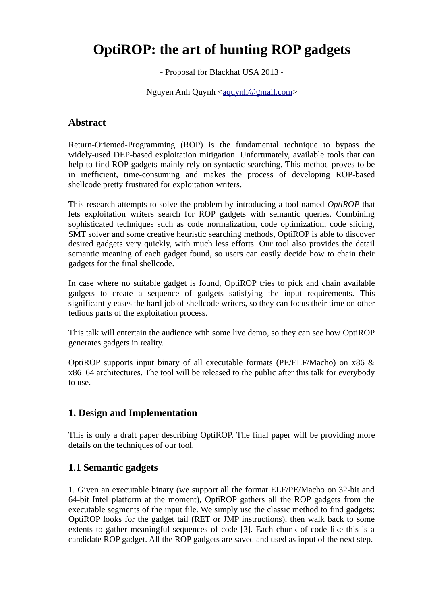# **OptiROP: the art of hunting ROP gadgets**

- Proposal for Blackhat USA 2013 -

Nguyen Anh Quynh [<aquynh@gmail.com>](mailto:aquynh@gmail.com)

## **Abstract**

Return-Oriented-Programming (ROP) is the fundamental technique to bypass the widely-used DEP-based exploitation mitigation. Unfortunately, available tools that can help to find ROP gadgets mainly rely on syntactic searching. This method proves to be in inefficient, time-consuming and makes the process of developing ROP-based shellcode pretty frustrated for exploitation writers.

This research attempts to solve the problem by introducing a tool named *OptiROP* that lets exploitation writers search for ROP gadgets with semantic queries. Combining sophisticated techniques such as code normalization, code optimization, code slicing, SMT solver and some creative heuristic searching methods, OptiROP is able to discover desired gadgets very quickly, with much less efforts. Our tool also provides the detail semantic meaning of each gadget found, so users can easily decide how to chain their gadgets for the final shellcode.

In case where no suitable gadget is found, OptiROP tries to pick and chain available gadgets to create a sequence of gadgets satisfying the input requirements. This significantly eases the hard job of shellcode writers, so they can focus their time on other tedious parts of the exploitation process.

This talk will entertain the audience with some live demo, so they can see how OptiROP generates gadgets in reality.

OptiROP supports input binary of all executable formats (PE/ELF/Macho) on x86 & x86\_64 architectures. The tool will be released to the public after this talk for everybody to use.

#### **1. Design and Implementation**

This is only a draft paper describing OptiROP. The final paper will be providing more details on the techniques of our tool.

#### **1.1 Semantic gadgets**

1. Given an executable binary (we support all the format ELF/PE/Macho on 32-bit and 64-bit Intel platform at the moment), OptiROP gathers all the ROP gadgets from the executable segments of the input file. We simply use the classic method to find gadgets: OptiROP looks for the gadget tail (RET or JMP instructions), then walk back to some extents to gather meaningful sequences of code [3]. Each chunk of code like this is a candidate ROP gadget. All the ROP gadgets are saved and used as input of the next step.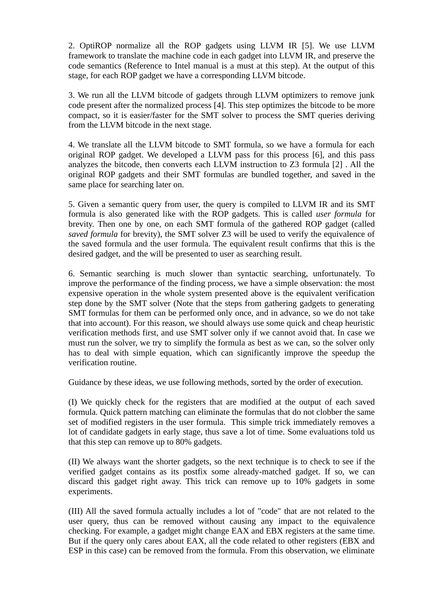2. OptiROP normalize all the ROP gadgets using LLVM IR [5]. We use LLVM framework to translate the machine code in each gadget into LLVM IR, and preserve the code semantics (Reference to Intel manual is a must at this step). At the output of this stage, for each ROP gadget we have a corresponding LLVM bitcode.

3. We run all the LLVM bitcode of gadgets through LLVM optimizers to remove junk code present after the normalized process [4]. This step optimizes the bitcode to be more compact, so it is easier/faster for the SMT solver to process the SMT queries deriving from the LLVM bitcode in the next stage.

4. We translate all the LLVM bitcode to SMT formula, so we have a formula for each original ROP gadget. We developed a LLVM pass for this process [6], and this pass analyzes the bitcode, then converts each LLVM instruction to Z3 formula [2] . All the original ROP gadgets and their SMT formulas are bundled together, and saved in the same place for searching later on.

5. Given a semantic query from user, the query is compiled to LLVM IR and its SMT formula is also generated like with the ROP gadgets. This is called *user formula* for brevity. Then one by one, on each SMT formula of the gathered ROP gadget (called *saved formula* for brevity), the SMT solver Z3 will be used to verify the equivalence of the saved formula and the user formula. The equivalent result confirms that this is the desired gadget, and the will be presented to user as searching result.

6. Semantic searching is much slower than syntactic searching, unfortunately. To improve the performance of the finding process, we have a simple observation: the most expensive operation in the whole system presented above is the equivalent verification step done by the SMT solver (Note that the steps from gathering gadgets to generating SMT formulas for them can be performed only once, and in advance, so we do not take that into account). For this reason, we should always use some quick and cheap heuristic verification methods first, and use SMT solver only if we cannot avoid that. In case we must run the solver, we try to simplify the formula as best as we can, so the solver only has to deal with simple equation, which can significantly improve the speedup the verification routine.

Guidance by these ideas, we use following methods, sorted by the order of execution.

(I) We quickly check for the registers that are modified at the output of each saved formula. Quick pattern matching can eliminate the formulas that do not clobber the same set of modified registers in the user formula. This simple trick immediately removes a lot of candidate gadgets in early stage, thus save a lot of time. Some evaluations told us that this step can remove up to 80% gadgets.

(II) We always want the shorter gadgets, so the next technique is to check to see if the verified gadget contains as its postfix some already-matched gadget. If so, we can discard this gadget right away. This trick can remove up to 10% gadgets in some experiments.

(III) All the saved formula actually includes a lot of "code" that are not related to the user query, thus can be removed without causing any impact to the equivalence checking. For example, a gadget might change EAX and EBX registers at the same time. But if the query only cares about EAX, all the code related to other registers (EBX and ESP in this case) can be removed from the formula. From this observation, we eliminate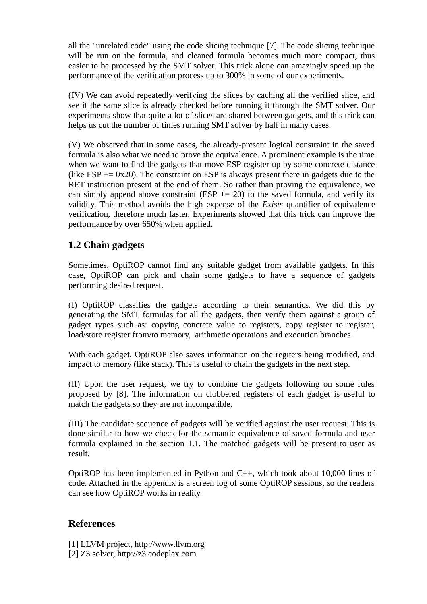all the "unrelated code" using the code slicing technique [7]. The code slicing technique will be run on the formula, and cleaned formula becomes much more compact, thus easier to be processed by the SMT solver. This trick alone can amazingly speed up the performance of the verification process up to 300% in some of our experiments.

(IV) We can avoid repeatedly verifying the slices by caching all the verified slice, and see if the same slice is already checked before running it through the SMT solver. Our experiments show that quite a lot of slices are shared between gadgets, and this trick can helps us cut the number of times running SMT solver by half in many cases.

(V) We observed that in some cases, the already-present logical constraint in the saved formula is also what we need to prove the equivalence. A prominent example is the time when we want to find the gadgets that move ESP register up by some concrete distance (like  $ESP = 0x20$ ). The constraint on ESP is always present there in gadgets due to the RET instruction present at the end of them. So rather than proving the equivalence, we can simply append above constraint (ESP  $+= 20$ ) to the saved formula, and verify its validity. This method avoids the high expense of the *Exists* quantifier of equivalence verification, therefore much faster. Experiments showed that this trick can improve the performance by over 650% when applied.

# **1.2 Chain gadgets**

Sometimes, OptiROP cannot find any suitable gadget from available gadgets. In this case, OptiROP can pick and chain some gadgets to have a sequence of gadgets performing desired request.

(I) OptiROP classifies the gadgets according to their semantics. We did this by generating the SMT formulas for all the gadgets, then verify them against a group of gadget types such as: copying concrete value to registers, copy register to register, load/store register from/to memory, arithmetic operations and execution branches.

With each gadget, OptiROP also saves information on the regiters being modified, and impact to memory (like stack). This is useful to chain the gadgets in the next step.

(II) Upon the user request, we try to combine the gadgets following on some rules proposed by [8]. The information on clobbered registers of each gadget is useful to match the gadgets so they are not incompatible.

(III) The candidate sequence of gadgets will be verified against the user request. This is done similar to how we check for the semantic equivalence of saved formula and user formula explained in the section 1.1. The matched gadgets will be present to user as result.

OptiROP has been implemented in Python and C++, which took about 10,000 lines of code. Attached in the appendix is a screen log of some OptiROP sessions, so the readers can see how OptiROP works in reality.

## **References**

- [1] LLVM project, http://www.llvm.org
- [2] Z3 solver, http://z3.codeplex.com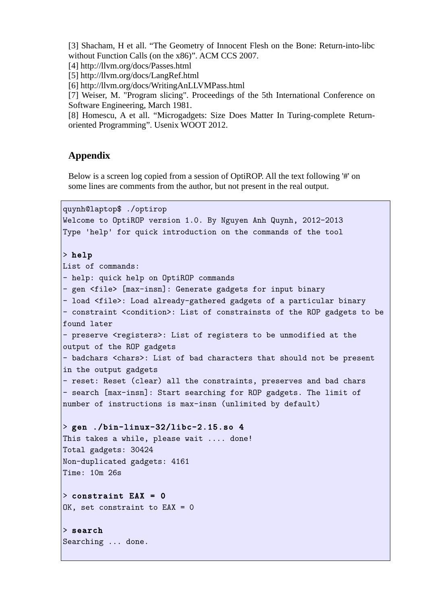[3] Shacham, H et all. "The Geometry of Innocent Flesh on the Bone: Return-into-libc without Function Calls (on the x86)". ACM CCS 2007.

[4] http://llvm.org/docs/Passes.html

[5] http://llvm.org/docs/LangRef.html

[6] http://llvm.org/docs/WritingAnLLVMPass.html

[7] Weiser, M. "Program slicing". Proceedings of the 5th International Conference on Software Engineering, March 1981.

[8] Homescu, A et all. "Microgadgets: Size Does Matter In Turing-complete Returnoriented Programming". Usenix WOOT 2012.

#### **Appendix**

Below is a screen log copied from a session of OptiROP. All the text following '#' on some lines are comments from the author, but not present in the real output.

quynh@laptop\$ ./optirop

Welcome to OptiROP version 1.0. By Nguyen Anh Quynh, 2012-2013 Type 'help' for quick introduction on the commands of the tool > help List of commands: - help: quick help on OptiROP commands - gen <file> [max-insn]: Generate gadgets for input binary - load <file>: Load already-gathered gadgets of a particular binary - constraint <condition>: List of constrainsts of the ROP gadgets to be found later - preserve <registers>: List of registers to be unmodified at the output of the ROP gadgets - badchars <chars>: List of bad characters that should not be present in the output gadgets - reset: Reset (clear) all the constraints, preserves and bad chars - search [max-insn]: Start searching for ROP gadgets. The limit of number of instructions is max-insn (unlimited by default) > gen ./bin-linux-32/libc-2.15.so 4 This takes a while, please wait .... done! Total gadgets: 30424 Non-duplicated gadgets: 4161 Time: 10m 26s  $>$  constraint EAX = 0  $OK$ , set constraint to  $EAX = 0$ > search Searching ... done.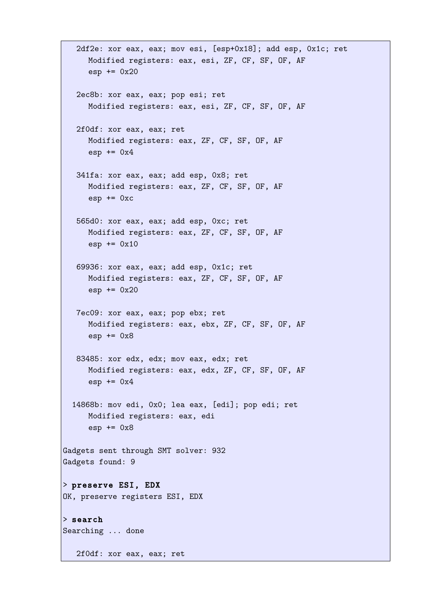```
 2df2e: xor eax, eax; mov esi, [esp+0x18]; add esp, 0x1c; ret 
      Modified registers: eax, esi, ZF, CF, SF, OF, AF 
      \text{esp} += 0x20
    2ec8b: xor eax, eax; pop esi; ret 
     Modified registers: eax, esi, ZF, CF, SF, OF, AF 
    2f0df: xor eax, eax; ret 
     Modified registers: eax, ZF, CF, SF, OF, AF 
      esp += 0x4 341fa: xor eax, eax; add esp, 0x8; ret 
     Modified registers: eax, ZF, CF, SF, OF, AF 
     \text{esp} += 0 \text{xc} 565d0: xor eax, eax; add esp, 0xc; ret 
     Modified registers: eax, ZF, CF, SF, OF, AF 
      essp == 0x10 69936: xor eax, eax; add esp, 0x1c; ret 
     Modified registers: eax, ZF, CF, SF, OF, AF 
      exp += 0x20 7ec09: xor eax, eax; pop ebx; ret 
     Modified registers: eax, ebx, ZF, CF, SF, OF, AF 
      \text{esp} += 0x8
   83485: xor edx, edx; mov eax, edx; ret 
     Modified registers: eax, edx, ZF, CF, SF, OF, AF 
      \text{esp} += 0x4
   14868b: mov edi, 0x0; lea eax, [edi]; pop edi; ret 
     Modified registers: eax, edi 
      \text{esp} += 0x8
Gadgets sent through SMT solver: 932 
Gadgets found: 9 
> preserve ESI, EDX 
OK, preserve registers ESI, EDX 
> search 
Searching ... done 
    2f0df: xor eax, eax; ret
```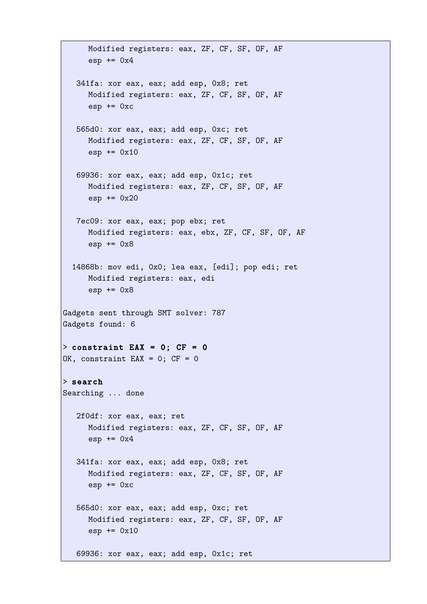```
Modified registers: eax, ZF, CF, SF, OF, AF 
      \text{esp} += 0x4
    341fa: xor eax, eax; add esp, 0x8; ret 
     Modified registers: eax, ZF, CF, SF, OF, AF 
      \text{esp} += 0 \text{xc} 565d0: xor eax, eax; add esp, 0xc; ret 
      Modified registers: eax, ZF, CF, SF, OF, AF 
      exp += 0x10 69936: xor eax, eax; add esp, 0x1c; ret 
     Modified registers: eax, ZF, CF, SF, OF, AF 
     exp += 0x20 7ec09: xor eax, eax; pop ebx; ret 
     Modified registers: eax, ebx, ZF, CF, SF, OF, AF 
      \text{esp} += 0x8
   14868b: mov edi, 0x0; lea eax, [edi]; pop edi; ret 
     Modified registers: eax, edi 
      \text{esp} += 0x8
Gadgets sent through SMT solver: 787 
Gadgets found: 6 
> constraint EAX = 0; CF = 0OK, constraint EAX = 0; CF = 0
> search
Searching ... done 
    2f0df: xor eax, eax; ret 
     Modified registers: eax, ZF, CF, SF, OF, AF 
      \text{esp} += 0x4
    341fa: xor eax, eax; add esp, 0x8; ret 
     Modified registers: eax, ZF, CF, SF, OF, AF 
      esp += 0xc 565d0: xor eax, eax; add esp, 0xc; ret 
     Modified registers: eax, ZF, CF, SF, OF, AF 
      exp += 0x10 69936: xor eax, eax; add esp, 0x1c; ret
```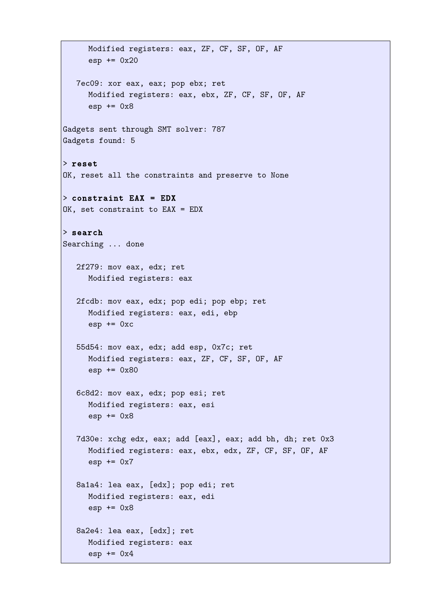```
Modified registers: eax, ZF, CF, SF, OF, AF 
      \text{esp} += 0x20
    7ec09: xor eax, eax; pop ebx; ret 
      Modified registers: eax, ebx, ZF, CF, SF, OF, AF 
      \text{esp} += 0x8Gadgets sent through SMT solver: 787 
Gadgets found: 5 
> reset
OK, reset all the constraints and preserve to None 
> constraint EAX = EDX
OK, set constraint to EAX = EDX 
> search
Searching ... done 
    2f279: mov eax, edx; ret 
     Modified registers: eax 
    2fcdb: mov eax, edx; pop edi; pop ebp; ret 
     Modified registers: eax, edi, ebp 
      \text{esp} += 0 \text{xc} 55d54: mov eax, edx; add esp, 0x7c; ret 
     Modified registers: eax, ZF, CF, SF, OF, AF 
      esp += 0x80 
    6c8d2: mov eax, edx; pop esi; ret 
     Modified registers: eax, esi 
      \text{esp} += 0x8
    7d30e: xchg edx, eax; add [eax], eax; add bh, dh; ret 0x3 
      Modified registers: eax, ebx, edx, ZF, CF, SF, OF, AF 
      \text{esp} += 0x7
    8a1a4: lea eax, [edx]; pop edi; ret 
     Modified registers: eax, edi 
      \text{esp} += 0x8
    8a2e4: lea eax, [edx]; ret 
     Modified registers: eax 
      \text{esp} += 0x4
```